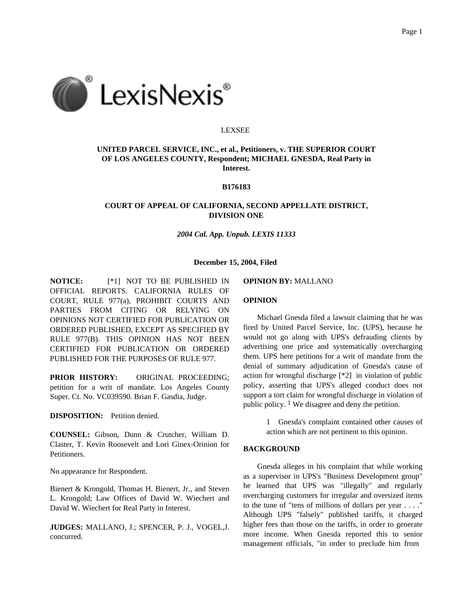

### LEXSEE

# **UNITED PARCEL SERVICE, INC., et al., Petitioners, v. THE SUPERIOR COURT OF LOS ANGELES COUNTY, Respondent; MICHAEL GNESDA, Real Party in Interest.**

### **B176183**

## **COURT OF APPEAL OF CALIFORNIA, SECOND APPELLATE DISTRICT, DIVISION ONE**

*2004 Cal. App. Unpub. LEXIS 11333*

#### **December 15, 2004, Filed**

**NOTICE:** [\*1] NOT TO BE PUBLISHED IN OFFICIAL REPORTS. CALIFORNIA RULES OF COURT, RULE 977(a), PROHIBIT COURTS AND PARTIES FROM CITING OR RELYING ON OPINIONS NOT CERTIFIED FOR PUBLICATION OR ORDERED PUBLISHED, EXCEPT AS SPECIFIED BY RULE 977(B). THIS OPINION HAS NOT BEEN CERTIFIED FOR PUBLICATION OR ORDERED PUBLISHED FOR THE PURPOSES OF RULE 977.

**PRIOR HISTORY:** ORIGINAL PROCEEDING; petition for a writ of mandate. Los Angeles County Super. Ct. No. VC039590. Brian F. Gasdia, Judge.

**DISPOSITION:** Petition denied.

**COUNSEL:** Gibson, Dunn & Crutcher, William D. Claster, T. Kevin Roosevelt and Lori Ginex-Orinion for Petitioners.

No appearance for Respondent.

Bienert & Krongold, Thomas H. Bienert, Jr., and Steven L. Krongold; Law Offices of David W. Wiechert and David W. Wiechert for Real Party in Interest.

**JUDGES:** MALLANO, J.; SPENCER, P. J., VOGEL,J. concurred.

#### **OPINION BY:** MALLANO

#### **OPINION**

Michael Gnesda filed a lawsuit claiming that he was fired by United Parcel Service, Inc. (UPS), because he would not go along with UPS's defrauding clients by advertising one price and systematically overcharging them. UPS here petitions for a writ of mandate from the denial of summary adjudication of Gnesda's cause of action for wrongful discharge [\*2] in violation of public policy, asserting that UPS's alleged conduct does not support a tort claim for wrongful discharge in violation of public policy.  $\frac{1}{1}$  We disagree and deny the petition.

> 1 Gnesda's complaint contained other causes of action which are not pertinent to this opinion.

### **BACKGROUND**

Gnesda alleges in his complaint that while working as a supervisor in UPS's "Business Development group" he learned that UPS was "illegally" and regularly overcharging customers for irregular and oversized items to the tune of "tens of millions of dollars per year . . . ." Although UPS "falsely" published tariffs, it charged higher fees than those on the tariffs, in order to generate more income. When Gnesda reported this to senior management officials, "in order to preclude him from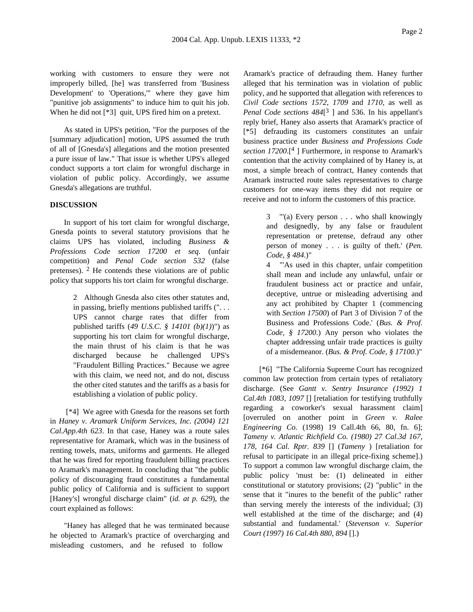working with customers to ensure they were not improperly billed, [he] was transferred from 'Business Development' to 'Operations,'" where they gave him "punitive job assignments" to induce him to quit his job. When he did not [\*3] quit, UPS fired him on a pretext.

As stated in UPS's petition, "For the purposes of the [summary adjudication] motion, UPS assumed the truth of all of [Gnesda's] allegations and the motion presented a pure issue of law." That issue is whether UPS's alleged conduct supports a tort claim for wrongful discharge in violation of public policy. Accordingly, we assume Gnesda's allegations are truthful.

## **DISCUSSION**

In support of his tort claim for wrongful discharge, Gnesda points to several statutory provisions that he claims UPS has violated, including *Business & Professions Code section 17200 et seq.* (unfair competition) and *Penal Code section 532* (false pretenses).  $2$  He contends these violations are of public policy that supports his tort claim for wrongful discharge.

> 2 Although Gnesda also cites other statutes and, in passing, briefly mentions published tariffs (". . . UPS cannot charge rates that differ from published tariffs (*49 U.S.C. § 14101 (b)(1)*)") as supporting his tort claim for wrongful discharge, the main thrust of his claim is that he was discharged because he challenged UPS's "Fraudulent Billing Practices." Because we agree with this claim, we need not, and do not, discuss the other cited statutes and the tariffs as a basis for establishing a violation of public policy.

[\*4] We agree with Gnesda for the reasons set forth in *Haney v. Aramark Uniform Services, Inc. (2004) 121 Cal.App.4th 623*. In that case, Haney was a route sales representative for Aramark, which was in the business of renting towels, mats, uniforms and garments. He alleged that he was fired for reporting fraudulent billing practices to Aramark's management. In concluding that "the public policy of discouraging fraud constitutes a fundamental public policy of California and is sufficient to support [Haney's] wrongful discharge claim" (*id. at p. 629*), the court explained as follows:

"Haney has alleged that he was terminated because he objected to Aramark's practice of overcharging and misleading customers, and he refused to follow

Aramark's practice of defrauding them. Haney further alleged that his termination was in violation of public policy, and he supported that allegation with references to *Civil Code sections 1572*, *1709* and *1710*, as well as *Penal Code sections 484*[ 3 ] and 536. In his appellant's reply brief, Haney also asserts that Aramark's practice of [\*5] defrauding its customers constitutes an unfair business practice under *Business and Professions Code section 17200*.[4 ] Furthermore, in response to Aramark's contention that the activity complained of by Haney is, at most, a simple breach of contract, Haney contends that Aramark instructed route sales representatives to charge customers for one-way items they did not require or receive and not to inform the customers of this practice.

> 3 "'(a) Every person . . . who shall knowingly and designedly, by any false or fraudulent representation or pretense, defraud any other person of money . . . is guilty of theft.' (*Pen. Code, § 484*.)"

> 4 "'As used in this chapter, unfair competition shall mean and include any unlawful, unfair or fraudulent business act or practice and unfair, deceptive, untrue or misleading advertising and any act prohibited by Chapter 1 (commencing with *Section 17500*) of Part 3 of Division 7 of the Business and Professions Code.' (*Bus. & Prof. Code, § 17200*.) Any person who violates the chapter addressing unfair trade practices is guilty of a misdemeanor. (*Bus. & Prof. Code, § 17100*.)"

[\*6] "The California Supreme Court has recognized common law protection from certain types of retaliatory discharge. (See *Gantt v. Sentry Insurance (1992) 1 Cal.4th 1083, 1097* [] [retaliation for testifying truthfully regarding a coworker's sexual harassment claim] [overruled on another point in *Green v. Ralee Engineering Co.* (1998) 19 Call.4th 66, 80, fn. 6]; *Tameny v. Atlantic Richfield Co. (1980) 27 Cal.3d 167, 178, 164 Cal. Rptr. 839* [] (*Tameny* ) [retaliation for refusal to participate in an illegal price-fixing scheme].) To support a common law wrongful discharge claim, the public policy 'must be: (1) delineated in either constitutional or statutory provisions; (2) "public" in the sense that it "inures to the benefit of the public" rather than serving merely the interests of the individual; (3) well established at the time of the discharge; and (4) substantial and fundamental.' (*Stevenson v. Superior Court (1997) 16 Cal.4th 880, 894* [].)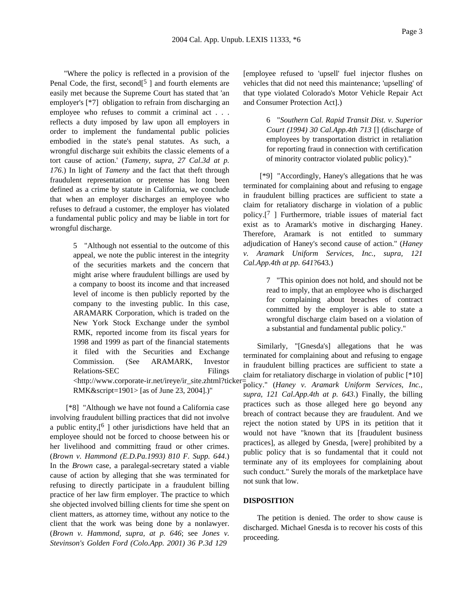"Where the policy is reflected in a provision of the Penal Code, the first, second<sup>[5</sup> ] and fourth elements are easily met because the Supreme Court has stated that 'an employer's [\*7] obligation to refrain from discharging an employee who refuses to commit a criminal act . . . reflects a duty imposed by law upon all employers in order to implement the fundamental public policies embodied in the state's penal statutes. As such, a wrongful discharge suit exhibits the classic elements of a tort cause of action.' (*Tameny, supra, 27 Cal.3d at p. 176*.) In light of *Tameny* and the fact that theft through fraudulent representation or pretense has long been defined as a crime by statute in California, we conclude that when an employer discharges an employee who refuses to defraud a customer, the employer has violated a fundamental public policy and may be liable in tort for wrongful discharge.

> 5 "Although not essential to the outcome of this appeal, we note the public interest in the integrity of the securities markets and the concern that might arise where fraudulent billings are used by a company to boost its income and that increased level of income is then publicly reported by the company to the investing public. In this case, ARAMARK Corporation, which is traded on the New York Stock Exchange under the symbol RMK, reported income from its fiscal years for 1998 and 1999 as part of the financial statements it filed with the Securities and Exchange Commission. (See ARAMARK, Investor Relations-SEC Filings <http://www.corporate-ir.net/ireye/ir\_site.zhtml?ticker= RMK&script=1901> [as of June 23, 2004].)"

[\*8] "Although we have not found a California case involving fraudulent billing practices that did not involve a public entity,  $[6]$  other jurisdictions have held that an employee should not be forced to choose between his or her livelihood and committing fraud or other crimes. (*Brown v. Hammond (E.D.Pa.1993) 810 F. Supp. 644*.) In the *Brown* case, a paralegal-secretary stated a viable cause of action by alleging that she was terminated for refusing to directly participate in a fraudulent billing practice of her law firm employer. The practice to which she objected involved billing clients for time she spent on client matters, as attorney time, without any notice to the client that the work was being done by a nonlawyer. (*Brown v. Hammond, supra, at p. 646*; see *Jones v. Stevinson's Golden Ford (Colo.App. 2001) 36 P.3d 129*

[employee refused to 'upsell' fuel injector flushes on vehicles that did not need this maintenance; 'upselling' of that type violated Colorado's Motor Vehicle Repair Act and Consumer Protection Act].)

> 6 "*Southern Cal. Rapid Transit Dist. v. Superior Court (1994) 30 Cal.App.4th 713* [] (discharge of employees by transportation district in retaliation for reporting fraud in connection with certification of minority contractor violated public policy)."

[\*9] "Accordingly, Haney's allegations that he was terminated for complaining about and refusing to engage in fraudulent billing practices are sufficient to state a claim for retaliatory discharge in violation of a public policy.<sup>[7</sup>] Furthermore, triable issues of material fact exist as to Aramark's motive in discharging Haney. Therefore, Aramark is not entitled to summary adjudication of Haney's second cause of action." (*Haney v. Aramark Uniform Services, Inc., supra, 121 Cal.App.4th at pp. 641*?643.)

> 7 "This opinion does not hold, and should not be read to imply, that an employee who is discharged for complaining about breaches of contract committed by the employer is able to state a wrongful discharge claim based on a violation of a substantial and fundamental public policy."

Similarly, "[Gnesda's] allegations that he was terminated for complaining about and refusing to engage in fraudulent billing practices are sufficient to state a claim for retaliatory discharge in violation of public [\*10] policy." (*Haney v. Aramark Uniform Services, Inc., supra, 121 Cal.App.4th at p. 643*.) Finally, the billing practices such as those alleged here go beyond any breach of contract because they are fraudulent. And we reject the notion stated by UPS in its petition that it would not have "known that its [fraudulent business practices], as alleged by Gnesda, [were] prohibited by a public policy that is so fundamental that it could not terminate any of its employees for complaining about such conduct." Surely the morals of the marketplace have not sunk that low.

### **DISPOSITION**

The petition is denied. The order to show cause is discharged. Michael Gnesda is to recover his costs of this proceeding.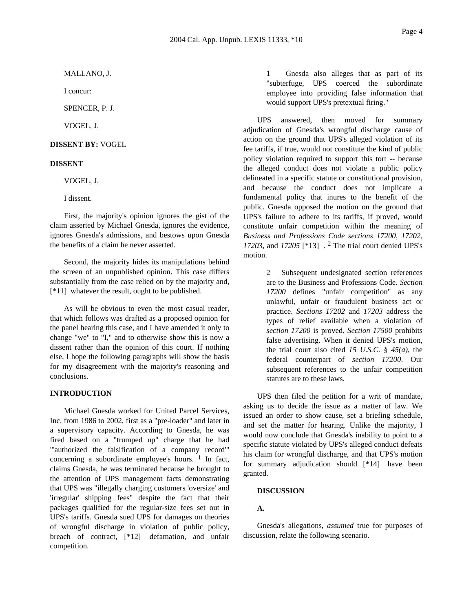MALLANO, J.

I concur:

SPENCER, P. J.

VOGEL, J.

**DISSENT BY:** VOGEL

### **DISSENT**

VOGEL, J.

I dissent.

First, the majority's opinion ignores the gist of the claim asserted by Michael Gnesda, ignores the evidence, ignores Gnesda's admissions, and bestows upon Gnesda the benefits of a claim he never asserted.

Second, the majority hides its manipulations behind the screen of an unpublished opinion. This case differs substantially from the case relied on by the majority and, [\*11] whatever the result, ought to be published.

As will be obvious to even the most casual reader, that which follows was drafted as a proposed opinion for the panel hearing this case, and I have amended it only to change "we" to "I," and to otherwise show this is now a dissent rather than the opinion of this court. If nothing else, I hope the following paragraphs will show the basis for my disagreement with the majority's reasoning and conclusions.

### **INTRODUCTION**

Michael Gnesda worked for United Parcel Services, Inc. from 1986 to 2002, first as a "pre-loader" and later in a supervisory capacity. According to Gnesda, he was fired based on a "trumped up" charge that he had "'authorized the falsification of a company record'" concerning a subordinate employee's hours.  $\frac{1}{1}$  In fact, claims Gnesda, he was terminated because he brought to the attention of UPS management facts demonstrating that UPS was "illegally charging customers 'oversize' and 'irregular' shipping fees" despite the fact that their packages qualified for the regular-size fees set out in UPS's tariffs. Gnesda sued UPS for damages on theories of wrongful discharge in violation of public policy, breach of contract, [\*12] defamation, and unfair competition.

1 Gnesda also alleges that as part of its "subterfuge, UPS coerced the subordinate employee into providing false information that would support UPS's pretextual firing."

UPS answered, then moved for summary adjudication of Gnesda's wrongful discharge cause of action on the ground that UPS's alleged violation of its fee tariffs, if true, would not constitute the kind of public policy violation required to support this tort -- because the alleged conduct does not violate a public policy delineated in a specific statute or constitutional provision, and because the conduct does not implicate a fundamental policy that inures to the benefit of the public. Gnesda opposed the motion on the ground that UPS's failure to adhere to its tariffs, if proved, would constitute unfair competition within the meaning of *Business and Professions Code sections 17200*, *17202*, *17203*, and *17205* [\*13] . 2 The trial court denied UPS's motion.

> 2 Subsequent undesignated section references are to the Business and Professions Code. *Section 17200* defines "unfair competition" as any unlawful, unfair or fraudulent business act or practice. *Sections 17202* and *17203* address the types of relief available when a violation of *section 17200* is proved. *Section 17500* prohibits false advertising. When it denied UPS's motion, the trial court also cited *15 U.S.C. § 45(a)*, the federal counterpart of *section 17200*. Our subsequent references to the unfair competition statutes are to these laws.

UPS then filed the petition for a writ of mandate, asking us to decide the issue as a matter of law. We issued an order to show cause, set a briefing schedule, and set the matter for hearing. Unlike the majority, I would now conclude that Gnesda's inability to point to a specific statute violated by UPS's alleged conduct defeats his claim for wrongful discharge, and that UPS's motion for summary adjudication should [\*14] have been granted.

### **DISCUSSION**

## **A.**

Gnesda's allegations, *assumed* true for purposes of discussion, relate the following scenario.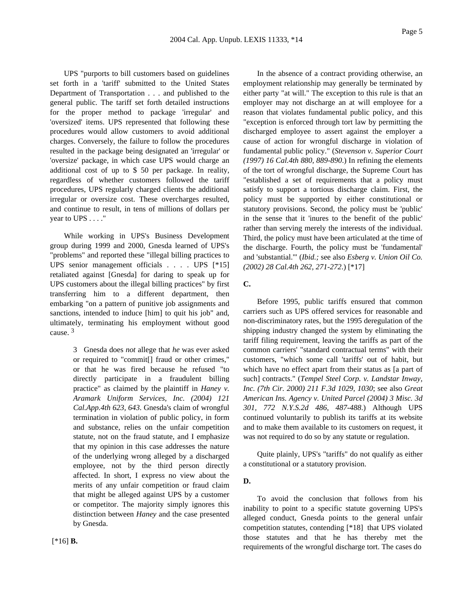UPS "purports to bill customers based on guidelines set forth in a 'tariff' submitted to the United States Department of Transportation . . . and published to the general public. The tariff set forth detailed instructions for the proper method to package 'irregular' and 'oversized' items. UPS represented that following these procedures would allow customers to avoid additional charges. Conversely, the failure to follow the procedures resulted in the package being designated an 'irregular' or 'oversize' package, in which case UPS would charge an additional cost of up to \$ 50 per package. In reality, regardless of whether customers followed the tariff procedures, UPS regularly charged clients the additional irregular or oversize cost. These overcharges resulted, and continue to result, in tens of millions of dollars per year to UPS . . . ."

While working in UPS's Business Development group during 1999 and 2000, Gnesda learned of UPS's "problems" and reported these "illegal billing practices to UPS senior management officials . . . . UPS [\*15] retaliated against [Gnesda] for daring to speak up for UPS customers about the illegal billing practices" by first transferring him to a different department, then embarking "on a pattern of punitive job assignments and sanctions, intended to induce [him] to quit his job" and, ultimately, terminating his employment without good cause. 3

> 3 Gnesda does *not* allege that *he* was ever asked or required to "commit[] fraud or other crimes," or that he was fired because he refused "to directly participate in a fraudulent billing practice" as claimed by the plaintiff in *Haney v. Aramark Uniform Services, Inc. (2004) 121 Cal.App.4th 623, 643*. Gnesda's claim of wrongful termination in violation of public policy, in form and substance, relies on the unfair competition statute, not on the fraud statute, and I emphasize that my opinion in this case addresses the nature of the underlying wrong alleged by a discharged employee, not by the third person directly affected. In short, I express no view about the merits of any unfair competition or fraud claim that might be alleged against UPS by a customer or competitor. The majority simply ignores this distinction between *Haney* and the case presented by Gnesda.

fundamental public policy." (*Stevenson v. Superior Court (1997) 16 Cal.4th 880, 889-890*.) In refining the elements of the tort of wrongful discharge, the Supreme Court has "established a set of requirements that a policy must satisfy to support a tortious discharge claim. First, the policy must be supported by either constitutional or statutory provisions. Second, the policy must be 'public' in the sense that it 'inures to the benefit of the public' rather than serving merely the interests of the individual. Third, the policy must have been articulated at the time of the discharge. Fourth, the policy must be 'fundamental' and 'substantial.'" (*Ibid.;* see also *Esberg v. Union Oil Co. (2002) 28 Cal.4th 262, 271-272*.) [\*17] **C.** Before 1995, public tariffs ensured that common

carriers such as UPS offered services for reasonable and non-discriminatory rates, but the 1995 deregulation of the shipping industry changed the system by eliminating the tariff filing requirement, leaving the tariffs as part of the common carriers' "standard contractual terms" with their customers, "which some call 'tariffs' out of habit, but which have no effect apart from their status as [a part of such] contracts." (*Tempel Steel Corp. v. Landstar Inway, Inc. (7th Cir. 2000) 211 F.3d 1029, 1030*; see also *Great American Ins. Agency v. United Parcel (2004) 3 Misc. 3d 301, 772 N.Y.S.2d 486, 487-488*.) Although UPS continued voluntarily to publish its tariffs at its website and to make them available to its customers on request, it was not required to do so by any statute or regulation.

In the absence of a contract providing otherwise, an employment relationship may generally be terminated by either party "at will." The exception to this rule is that an employer may not discharge an at will employee for a reason that violates fundamental public policy, and this "exception is enforced through tort law by permitting the discharged employee to assert against the employer a cause of action for wrongful discharge in violation of

Quite plainly, UPS's "tariffs" do not qualify as either a constitutional or a statutory provision.

#### **D.**

To avoid the conclusion that follows from his inability to point to a specific statute governing UPS's alleged conduct, Gnesda points to the general unfair competition statutes, contending [\*18] that UPS violated those statutes and that he has thereby met the requirements of the wrongful discharge tort. The cases do

[\*16] **B.**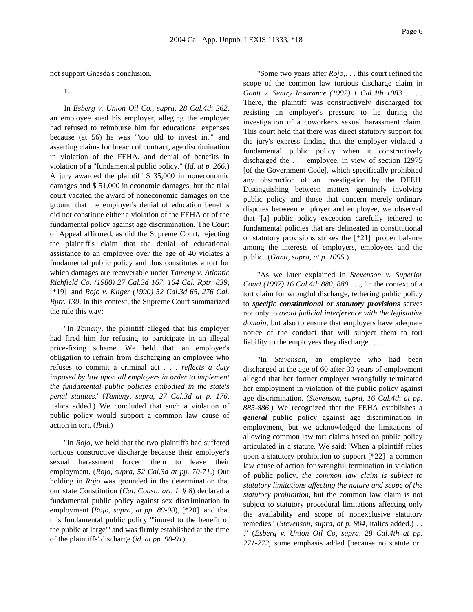not support Gnesda's conclusion.

**1.**

In *Esberg v. Union Oil Co., supra, 28 Cal.4th 262*, an employee sued his employer, alleging the employer had refused to reimburse him for educational expenses because (at 56) he was "'too old to invest in,'" and asserting claims for breach of contract, age discrimination in violation of the FEHA, and denial of benefits in violation of a "fundamental public policy." (*Id. at p. 266*.) A jury awarded the plaintiff \$ 35,000 in noneconomic damages and \$ 51,000 in economic damages, but the trial court vacated the award of noneconomic damages on the ground that the employer's denial of education benefits did not constitute either a violation of the FEHA or of the fundamental policy against age discrimination. The Court of Appeal affirmed, as did the Supreme Court, rejecting the plaintiff's claim that the denial of educational assistance to an employee over the age of 40 violates a fundamental public policy and thus constitutes a tort for which damages are recoverable under *Tameny v. Atlantic Richfield Co. (1980) 27 Cal.3d 167, 164 Cal. Rptr. 839*, [\*19] and *Rojo v. Kliger (1990) 52 Cal.3d 65, 276 Cal. Rptr. 130*. In this context, the Supreme Court summarized the rule this way:

"In *Tameny,* the plaintiff alleged that his employer had fired him for refusing to participate in an illegal price-fixing scheme. We held that 'an employer's obligation to refrain from discharging an employee who refuses to commit a criminal act . . . *reflects a duty imposed by law upon all employers in order to implement the fundamental public policies embodied in the state's penal statutes.*' (*Tameny, supra, 27 Cal.3d at p. 176*, italics added.) We concluded that such a violation of public policy would support a common law cause of action in tort. (*Ibid.*)

"In *Rojo*, we held that the two plaintiffs had suffered tortious constructive discharge because their employer's sexual harassment forced them to leave their employment. (*Rojo, supra, 52 Cal.3d at pp. 70-71*.) Our holding in *Rojo* was grounded in the determination that our state Constitution (*Cal. Const., art. I, § 8*) declared a fundamental public policy against sex discrimination in employment (*Rojo, supra, at pp. 89-90*), [\*20] and that this fundamental public policy '"inured to the benefit of the public at large"' and was firmly established at the time of the plaintiffs' discharge (*id. at pp. 90-91*).

"Some two years after *Rojo,*. . . this court refined the scope of the common law tortious discharge claim in *Gantt v. Sentry Insurance (1992) 1 Cal.4th 1083* . . . . There, the plaintiff was constructively discharged for resisting an employer's pressure to lie during the investigation of a coworker's sexual harassment claim. This court held that there was direct statutory support for the jury's express finding that the employer violated a fundamental public policy when it constructively discharged the . . . employee, in view of section 12975 [of the Government Code], which specifically prohibited any obstruction of an investigation by the DFEH. Distinguishing between matters genuinely involving public policy and those that concern merely ordinary disputes between employer and employee, we observed that '[a] public policy exception carefully tethered to fundamental policies that are delineated in constitutional or statutory provisions strikes the [\*21] proper balance among the interests of employers, employees and the public.' (*Gantt, supra, at p. 1095*.)

"As we later explained in *Stevenson v. Superior Court (1997) 16 Cal.4th 880, 889* . . ., 'in the context of a tort claim for wrongful discharge, tethering public policy to *specific constitutional or statutory provisions* serves not only to *avoid judicial interference with the legislative domain,* but also to ensure that employers have adequate notice of the conduct that will subject them to tort liability to the employees they discharge.'...

"In *Stevenson,* an employee who had been discharged at the age of 60 after 30 years of employment alleged that her former employer wrongfully terminated her employment in violation of the public policy against age discrimination. (*Stevenson, supra, 16 Cal.4th at pp. 885-886*.) We recognized that the FEHA establishes a *general* public policy against age discrimination in employment, but we acknowledged the limitations of allowing common law tort claims based on public policy articulated in a statute. We said: 'When a plaintiff relies upon a statutory prohibition to support [\*22] a common law cause of action for wrongful termination in violation of public policy, *the common law claim is subject to statutory limitations affecting the nature and scope of the statutory prohibition,* but the common law claim is not subject to statutory procedural limitations affecting only the availability and scope of nonexclusive statutory remedies.' (*Stevenson, supra, at p. 904*, italics added.) . . ." (*Esberg v. Union Oil Co, supra, 28 Cal.4th at pp. 271-272*, some emphasis added [because no statute or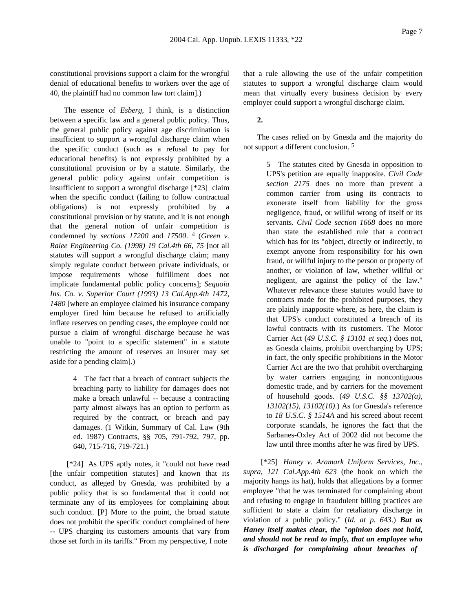constitutional provisions support a claim for the wrongful denial of educational benefits to workers over the age of 40, the plaintiff had no common law tort claim].)

The essence of *Esberg,* I think, is a distinction between a specific law and a general public policy. Thus, the general public policy against age discrimination is insufficient to support a wrongful discharge claim when the specific conduct (such as a refusal to pay for educational benefits) is not expressly prohibited by a constitutional provision or by a statute. Similarly, the general public policy against unfair competition is insufficient to support a wrongful discharge [\*23] claim when the specific conduct (failing to follow contractual obligations) is not expressly prohibited by a constitutional provision or by statute, and it is not enough that the general notion of unfair competition is condemned by *sections 17200* and *17500*. 4 (*Green v. Ralee Engineering Co. (1998) 19 Cal.4th 66, 75* [not all statutes will support a wrongful discharge claim; many simply regulate conduct between private individuals, or impose requirements whose fulfillment does not implicate fundamental public policy concerns]; *Sequoia Ins. Co. v. Superior Court (1993) 13 Cal.App.4th 1472, 1480* [where an employee claimed his insurance company employer fired him because he refused to artificially inflate reserves on pending cases, the employee could not pursue a claim of wrongful discharge because he was unable to "point to a specific statement" in a statute restricting the amount of reserves an insurer may set aside for a pending claim].)

> 4 The fact that a breach of contract subjects the breaching party to liability for damages does not make a breach unlawful -- because a contracting party almost always has an option to perform as required by the contract, or breach and pay damages. (1 Witkin, Summary of Cal. Law (9th ed. 1987) Contracts, §§ 705, 791-792, 797, pp. 640, 715-716, 719-721.)

[\*24] As UPS aptly notes, it "could not have read [the unfair competition statutes] and known that its conduct, as alleged by Gnesda, was prohibited by a public policy that is so fundamental that it could not terminate any of its employees for complaining about such conduct. [P] More to the point, the broad statute does not prohibit the specific conduct complained of here -- UPS charging its customers amounts that vary from those set forth in its tariffs." From my perspective, I note

that a rule allowing the use of the unfair competition statutes to support a wrongful discharge claim would mean that virtually every business decision by every employer could support a wrongful discharge claim.

# **2.**

The cases relied on by Gnesda and the majority do not support a different conclusion. 5

> 5 The statutes cited by Gnesda in opposition to UPS's petition are equally inapposite. *Civil Code section 2175* does no more than prevent a common carrier from using its contracts to exonerate itself from liability for the gross negligence, fraud, or willful wrong of itself or its servants. *Civil Code section 1668* does no more than state the established rule that a contract which has for its "object, directly or indirectly, to exempt anyone from responsibility for his own fraud, or willful injury to the person or property of another, or violation of law, whether willful or negligent, are against the policy of the law." Whatever relevance these statutes would have to contracts made for the prohibited purposes, they are plainly inapposite where, as here, the claim is that UPS's conduct constituted a breach of its lawful contracts with its customers. The Motor Carrier Act (*49 U.S.C. § 13101 et seq.*) does not, as Gnesda claims, prohibit overcharging by UPS; in fact, the only specific prohibitions in the Motor Carrier Act are the two that prohibit overcharging by water carriers engaging in noncontiguous domestic trade, and by carriers for the movement of household goods. (*49 U.S.C. §§ 13702(a)*, *13102(15)*, *13102(10)*.) As for Gnesda's reference to *18 U.S.C. § 1514A* and his screed about recent corporate scandals, he ignores the fact that the Sarbanes-Oxley Act of 2002 did not become the law until three months after he was fired by UPS.

[\*25] *Haney v. Aramark Uniform Services, Inc., supra, 121 Cal.App.4th 623* (the hook on which the majority hangs its hat), holds that allegations by a former employee "that he was terminated for complaining about and refusing to engage in fraudulent billing practices are sufficient to state a claim for retaliatory discharge in violation of a public policy." (*Id. at p. 643*.) *But as Haney itself makes clear, the "opinion does not hold, and should not be read to imply, that an employee who is discharged for complaining about breaches of*